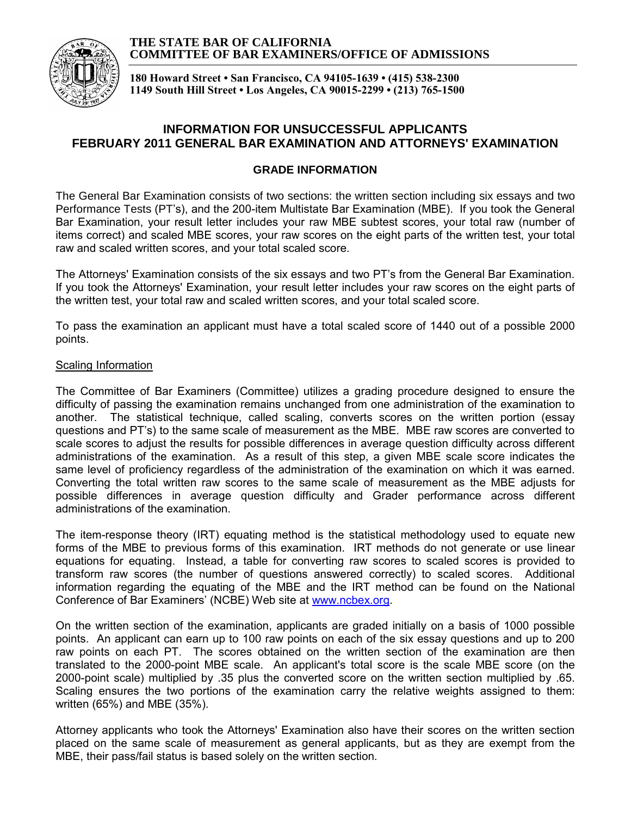#### **THE STATE BAR OF CALIFORNIA COMMITTEE OF BAR EXAMINERS/OFFICE OF ADMISSIONS**



**180 Howard Street • San Francisco, CA 94105-1639 • (415) 538-2300 1149 South Hill Street • Los Angeles, CA 90015-2299 • (213) 765-1500**

# **INFORMATION FOR UNSUCCESSFUL APPLICANTS FEBRUARY 2011 GENERAL BAR EXAMINATION AND ATTORNEYS' EXAMINATION**

### **GRADE INFORMATION**

The General Bar Examination consists of two sections: the written section including six essays and two Performance Tests (PT's), and the 200-item Multistate Bar Examination (MBE). If you took the General Bar Examination, your result letter includes your raw MBE subtest scores, your total raw (number of items correct) and scaled MBE scores, your raw scores on the eight parts of the written test, your total raw and scaled written scores, and your total scaled score.

The Attorneys' Examination consists of the six essays and two PT's from the General Bar Examination. If you took the Attorneys' Examination, your result letter includes your raw scores on the eight parts of the written test, your total raw and scaled written scores, and your total scaled score.

To pass the examination an applicant must have a total scaled score of 1440 out of a possible 2000 points.

### Scaling Information

The Committee of Bar Examiners (Committee) utilizes a grading procedure designed to ensure the difficulty of passing the examination remains unchanged from one administration of the examination to another. The statistical technique, called scaling, converts scores on the written portion (essay questions and PT's) to the same scale of measurement as the MBE. MBE raw scores are converted to scale scores to adjust the results for possible differences in average question difficulty across different administrations of the examination. As a result of this step, a given MBE scale score indicates the same level of proficiency regardless of the administration of the examination on which it was earned. Converting the total written raw scores to the same scale of measurement as the MBE adjusts for possible differences in average question difficulty and Grader performance across different administrations of the examination.

The item-response theory (IRT) equating method is the statistical methodology used to equate new forms of the MBE to previous forms of this examination. IRT methods do not generate or use linear equations for equating. Instead, a table for converting raw scores to scaled scores is provided to transform raw scores (the number of questions answered correctly) to scaled scores. Additional information regarding the equating of the MBE and the IRT method can be found on the National Conference of Bar Examiners' (NCBE) Web site at [www.ncbex.org.](http://www.ncbex.org/)

On the written section of the examination, applicants are graded initially on a basis of 1000 possible points. An applicant can earn up to 100 raw points on each of the six essay questions and up to 200 raw points on each PT. The scores obtained on the written section of the examination are then translated to the 2000-point MBE scale. An applicant's total score is the scale MBE score (on the 2000-point scale) multiplied by .35 plus the converted score on the written section multiplied by .65. Scaling ensures the two portions of the examination carry the relative weights assigned to them: written (65%) and MBE (35%).

Attorney applicants who took the Attorneys' Examination also have their scores on the written section placed on the same scale of measurement as general applicants, but as they are exempt from the MBE, their pass/fail status is based solely on the written section.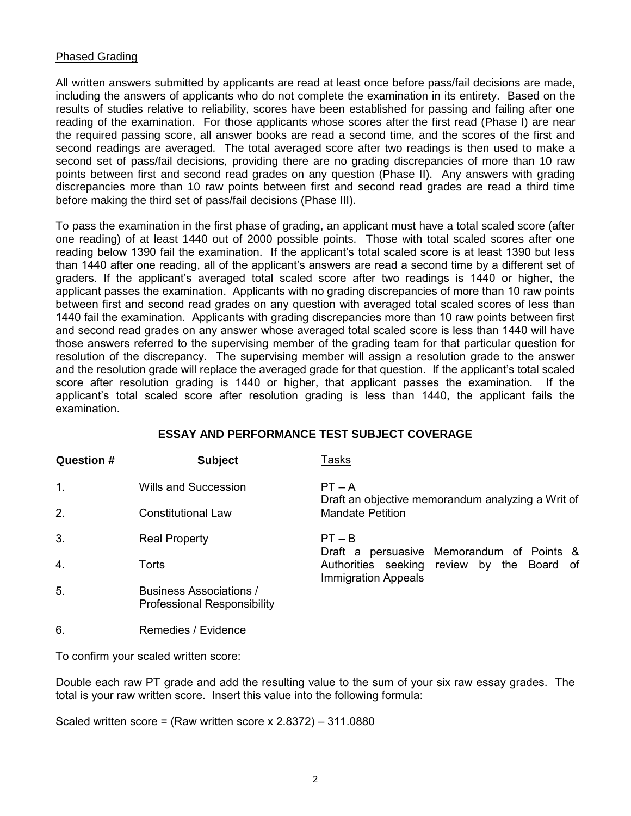### Phased Grading

All written answers submitted by applicants are read at least once before pass/fail decisions are made, including the answers of applicants who do not complete the examination in its entirety. Based on the results of studies relative to reliability, scores have been established for passing and failing after one reading of the examination. For those applicants whose scores after the first read (Phase I) are near the required passing score, all answer books are read a second time, and the scores of the first and second readings are averaged. The total averaged score after two readings is then used to make a second set of pass/fail decisions, providing there are no grading discrepancies of more than 10 raw points between first and second read grades on any question (Phase II). Any answers with grading discrepancies more than 10 raw points between first and second read grades are read a third time before making the third set of pass/fail decisions (Phase III).

To pass the examination in the first phase of grading, an applicant must have a total scaled score (after one reading) of at least 1440 out of 2000 possible points. Those with total scaled scores after one reading below 1390 fail the examination. If the applicant's total scaled score is at least 1390 but less than 1440 after one reading, all of the applicant's answers are read a second time by a different set of graders. If the applicant's averaged total scaled score after two readings is 1440 or higher, the applicant passes the examination. Applicants with no grading discrepancies of more than 10 raw points between first and second read grades on any question with averaged total scaled scores of less than 1440 fail the examination. Applicants with grading discrepancies more than 10 raw points between first and second read grades on any answer whose averaged total scaled score is less than 1440 will have those answers referred to the supervising member of the grading team for that particular question for resolution of the discrepancy. The supervising member will assign a resolution grade to the answer and the resolution grade will replace the averaged grade for that question. If the applicant's total scaled score after resolution grading is 1440 or higher, that applicant passes the examination. If the applicant's total scaled score after resolution grading is less than 1440, the applicant fails the examination.

## **ESSAY AND PERFORMANCE TEST SUBJECT COVERAGE**

| <b>Question #</b> | <b>Subject</b>                                                | Tasks<br>$PT - A$<br>Draft an objective memorandum analyzing a Writ of                                                |  |  |  |  |  |  |  |  |  |
|-------------------|---------------------------------------------------------------|-----------------------------------------------------------------------------------------------------------------------|--|--|--|--|--|--|--|--|--|
| $\mathbf{1}$ .    | Wills and Succession                                          |                                                                                                                       |  |  |  |  |  |  |  |  |  |
| 2.                | <b>Constitutional Law</b>                                     | <b>Mandate Petition</b>                                                                                               |  |  |  |  |  |  |  |  |  |
| 3.                | <b>Real Property</b>                                          | $PT - B$                                                                                                              |  |  |  |  |  |  |  |  |  |
| 4.                | Torts                                                         | Draft a persuasive Memorandum of Points &<br>Authorities seeking review by the Board of<br><b>Immigration Appeals</b> |  |  |  |  |  |  |  |  |  |
| 5.                | Business Associations /<br><b>Professional Responsibility</b> |                                                                                                                       |  |  |  |  |  |  |  |  |  |
| 6.                | Remedies / Evidence                                           |                                                                                                                       |  |  |  |  |  |  |  |  |  |

To confirm your scaled written score:

Double each raw PT grade and add the resulting value to the sum of your six raw essay grades. The total is your raw written score. Insert this value into the following formula:

Scaled written score = (Raw written score x 2.8372) – 311.0880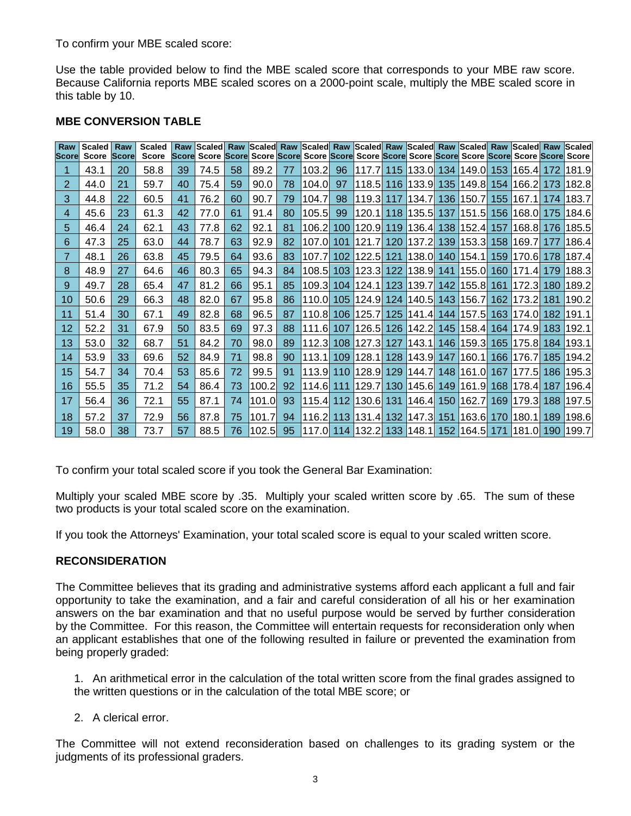To confirm your MBE scaled score:

Use the table provided below to find the MBE scaled score that corresponds to your MBE raw score. Because California reports MBE scaled scores on a 2000-point scale, multiply the MBE scaled score in this table by 10.

| Raw<br>lScorel | Scaled  <br>Score | Raw<br><b>Score</b> | <b>Scaled</b><br><b>Score</b> | Raw | Scorel Score Scorel Score Scorel Score Scorel Score Score Score Score Score Score Score Score Score Score |    |       |    |        |                  |                               |     |                   |       |           |                     |     | Scaled Raw Scaled Raw Scaled Raw Scaled Raw Scaled Raw Scaled Raw Scaled Raw Scaled |
|----------------|-------------------|---------------------|-------------------------------|-----|-----------------------------------------------------------------------------------------------------------|----|-------|----|--------|------------------|-------------------------------|-----|-------------------|-------|-----------|---------------------|-----|-------------------------------------------------------------------------------------|
|                | 43.1              | 20                  | 58.8                          | 39  | 74.5                                                                                                      | 58 | 89.2  | 77 | 103.2  | 96               | 117.7                         | 115 | l133.0l           | 134   |           | 149.0 153 165.4     | 172 | 181.9                                                                               |
| 2              | 44.0              | 21                  | 59.7                          | 40  | 75.4                                                                                                      | 59 | 90.0  | 78 | 104.0  | 97               | 118.5                         | 116 | 133.9  135        |       |           | 149.8 154 166.2     | 173 | 182.8                                                                               |
| 3              | 44.8              | 22                  | 60.5                          | 41  | 76.2                                                                                                      | 60 | 90.7  | 79 | 104.7  | 98               | 119.3 117                     |     | 134.71            | 136   |           | 150.7 155 1167.1    | 174 | 183.7                                                                               |
| 4              | 45.6              | 23                  | 61.3                          | 42  | 77.0                                                                                                      | 61 | 91.4  | 80 | 105.5  | 99               | 120.1                         | 118 | 135.5             | 137   | 151.5     | 156 168.0           | 175 | 184.6                                                                               |
| 5              | 46.4              | 24                  | 62.1                          | 43  | 77.8                                                                                                      | 62 | 92.1  | 81 | 106.2  | 100 <sub>1</sub> | 120.9 119                     |     | 136.4 138         |       | 152.4 157 | 168.8               | 176 | 185.5                                                                               |
| 6              | 47.3              | 25                  | 63.0                          | 44  | 78.7                                                                                                      | 63 | 92.9  | 82 | 107.0  | 101              | 121.71                        | 120 | 137.2             | 139   |           | 153.3 158 169.7     | 177 | 186.4                                                                               |
| 7              | 48.1              | 26                  | 63.8                          | 45  | 79.5                                                                                                      | 64 | 93.6  | 83 | 107.7  | 102 <sub>1</sub> | 122.5                         | 121 | 138.0L            | 140   |           | 154.1   159   170.6 | 178 | 187.4                                                                               |
| 8              | 48.9              | 27                  | 64.6                          | 46  | 80.3                                                                                                      | 65 | 94.3  | 84 | 108.5  | 103 <sub>1</sub> | 123.3                         | 122 | 138.9             | 141   |           | 155.0 160 171.4     | 179 | 188.3                                                                               |
| 9              | 49.7              | 28                  | 65.4                          | 47  | 81.2                                                                                                      | 66 | 95.1  | 85 | 109.3  |                  | 104   124.1                   | 123 | <b>139.7</b>      | 142   | 155.8 161 | 172.3               | 180 | 189.2                                                                               |
| 10             | 50.6              | 29                  | 66.3                          | 48  | 82.0                                                                                                      | 67 | 95.8  | 86 | 110.0l | 105 <sup>1</sup> | 124.9L                        | 124 | 140.5 143         |       |           | 156.711621173.2     | 181 | 190.2                                                                               |
| 11             | 51.4              | 30                  | 67.1                          | 49  | 82.8                                                                                                      | 68 | 96.5  | 87 | 110.8l |                  | 106   125.7                   |     | 125   141.4   144 |       |           | 157.5 163 174.0     | 182 | 191.1                                                                               |
| 12             | 52.2              | 31                  | 67.9                          | 50  | 83.5                                                                                                      | 69 | 97.3  | 88 | 111.6I | 107              | 126.5                         | 126 | 142.2             | 145   |           | 158.4 164 174.9     | 183 | 192.1                                                                               |
| 13             | 53.0              | 32                  | 68.7                          | 51  | 84.2                                                                                                      | 70 | 98.0  | 89 | 112.3  | 108 <sup>1</sup> | 127.3                         | 127 | 143.1   146       |       |           | 159.3 165 175.8     | 184 | 193.1                                                                               |
| 14             | 53.9              | 33                  | 69.6                          | 52  | 84.9                                                                                                      | 71 | 98.8  | 90 | 113.1  | 109 <sub>1</sub> | 128.1                         | 128 | 143.9             | 147 l |           | 160.1   166   176.7 | 185 | 194.2                                                                               |
| 15             | 54.7              | 34                  | 70.4                          | 53  | 85.6                                                                                                      | 72 | 99.5  | 91 | 113.9l | 110              | 128.9                         | 129 | 144.71            | 148   | 161.0 167 | 1177.5              | 186 | 195.3                                                                               |
| 16             | 55.5              | 35                  | 71.2                          | 54  | 86.4                                                                                                      | 73 | 100.2 | 92 | 114.6  | 111              | 129.71                        | 130 | 145.61            | 149   |           | 161.9 168 178.4     | 187 | 196.4                                                                               |
| 17             | 56.4              | 36                  | 72.1                          | 55  | 87.1                                                                                                      | 74 | 101.0 | 93 | 115.4  | 112              | <b>130.6</b>                  | 131 | 146.4             | 150   |           | 162.7 169 179.3     | 188 | 197.5                                                                               |
| 18             | 57.2              | 37                  | 72.9                          | 56  | 87.8                                                                                                      | 75 | 101.7 | 94 |        |                  | 116.2 113 131.4 132           |     | 147.3             | 151   |           | 163.6 170 180.1     | 189 | 198.6                                                                               |
| 19             | 58.0              | 38                  | 73.7                          | 57  | 88.5                                                                                                      | 76 | 102.5 | 95 |        |                  | 117.0 114 132.2 133 148.1 152 |     |                   |       | 164.5 171 | 181.0               | 190 | 199.7                                                                               |

### **MBE CONVERSION TABLE**

To confirm your total scaled score if you took the General Bar Examination:

Multiply your scaled MBE score by .35. Multiply your scaled written score by .65. The sum of these two products is your total scaled score on the examination.

If you took the Attorneys' Examination, your total scaled score is equal to your scaled written score.

## **RECONSIDERATION**

The Committee believes that its grading and administrative systems afford each applicant a full and fair opportunity to take the examination, and a fair and careful consideration of all his or her examination answers on the bar examination and that no useful purpose would be served by further consideration by the Committee. For this reason, the Committee will entertain requests for reconsideration only when an applicant establishes that one of the following resulted in failure or prevented the examination from being properly graded:

1. An arithmetical error in the calculation of the total written score from the final grades assigned to the written questions or in the calculation of the total MBE score; or

2. A clerical error.

The Committee will not extend reconsideration based on challenges to its grading system or the judgments of its professional graders.